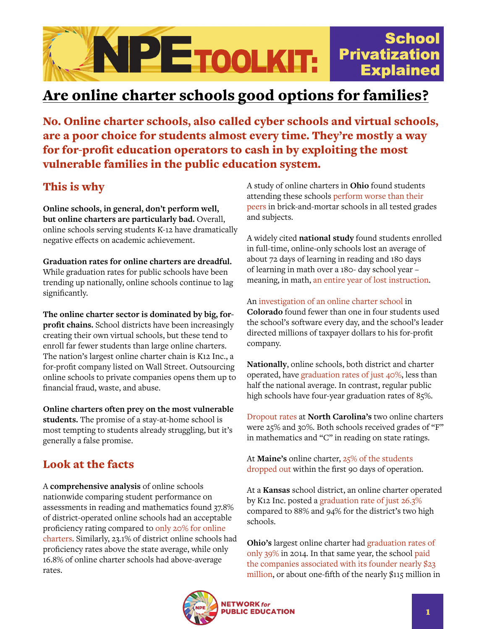

## Are online charter schools good options for families?

No. Online charter schools, also called cyber schools and virtual schools, are a poor choice for students almost every time. They're mostly a way for for-profit education operators to cash in by exploiting the most vulnerable families in the public education system.

## This is why

**Online schools, in general, don't perform well, but online charters are particularly bad.** Overall, online schools serving students K-12 have dramatically negative effects on academic achievement.

**Graduation rates for online charters are dreadful.** While graduation rates for public schools have been trending up nationally, online schools continue to lag significantly.

**The online charter sector is dominated by big, forprofit chains.** School districts have been increasingly creating their own virtual schools, but these tend to enroll far fewer students than large online charters. The nation's largest online charter chain is K12 Inc., a for-profit company listed on Wall Street. Outsourcing online schools to private companies opens them up to financial fraud, waste, and abuse.

**Online charters often prey on the most vulnerable students.** The promise of a stay-at-home school is most tempting to students already struggling, but it's generally a false promise.

## Look at the facts

A **comprehensive analysis** of online schools nationwide comparing student performance on assessments in reading and mathematics found 37.8% of district-operated online schools had an acceptable proficiency rating compared to [only 20% for online](https://nepc.colorado.edu/publication/virtual-schools-annual-2016)  [charters.](https://nepc.colorado.edu/publication/virtual-schools-annual-2016) Similarly, 23.1% of district online schools had proficiency rates above the state average, while only 16.8% of online charter schools had above-average rates.

A study of online charters in **Ohio** found students attending these schools [perform worse than their](https://fordhaminstitute.org/national/research/enrollment-and-achievement-ohios-virtual-charter-schools)  [peers](https://fordhaminstitute.org/national/research/enrollment-and-achievement-ohios-virtual-charter-schools) in brick-and-mortar schools in all tested grades and subjects.

A widely cited **national study** found students enrolled in full-time, online-only schools lost an average of about 72 days of learning in reading and 180 days of learning in math over a 180- day school year – meaning, in math, [an entire year of lost instruction](https://credo.stanford.edu/sites/g/files/sbiybj6481/f/online_charter_study_final.pdf).

An [investigation of an online charter school](https://www.edweek.org/policy-politics/a-virtual-mess-inside-colorados-largest-online-charter-school/2016/11#:~:text=Just%2024%20percent%20of%20students,for%20a%20week%20of%20work.) in **Colorado** found fewer than one in four students used the school's software every day, and the school's leader directed millions of taxpayer dollars to his for-profit company.

**Nationally**, online schools, both district and charter operated, have [graduation rates of just 40%,](https://gradnation.americaspromise.org/report/2016-building-grad-nation-report) less than half the national average. In contrast, regular public high schools have four-year graduation rates of 85%.

[Dropout rates](http://www.ncpolicywatch.com/2016/11/17/virtual-charters-continue-plagued-high-dropout-rate-low-student-performance/) at **North Carolina's** two online charters were 25% and 30%. Both schools received grades of "F" in mathematics and "C" in reading on state ratings.

At **Maine's** online charter, [25% of the students](https://www.pressherald.com/2016/01/06/maine-virtual-academy-charter-school-says-25-percent-of-its-students-withdrew-since-it-opened-this-fall/)  [dropped out](https://www.pressherald.com/2016/01/06/maine-virtual-academy-charter-school-says-25-percent-of-its-students-withdrew-since-it-opened-this-fall/) within the first 90 days of operation.

At a **Kansas** school district, an online charter operated by K12 Inc. posted a [graduation rate of just 26.3%](https://www2.ljworld.com/news/2014/mar/17/lawrence-prepares-full-takeover-troubled-virtual-h/) compared to 88% and 94% for the district's two high schools.

**Ohio's** largest online charter had [graduation rates of](https://reportcard.education.ohio.gov/)  [only 39%](https://reportcard.education.ohio.gov/) in 2014. In that same year, the school [paid](https://www.nytimes.com/2016/05/19/us/online-charter-schools-electronic-classroom-of-tomorrow.html)  [the companies associated with its founder nearly \\$23](https://www.nytimes.com/2016/05/19/us/online-charter-schools-electronic-classroom-of-tomorrow.html)  [million,](https://www.nytimes.com/2016/05/19/us/online-charter-schools-electronic-classroom-of-tomorrow.html) or about one-fifth of the nearly \$115 million in